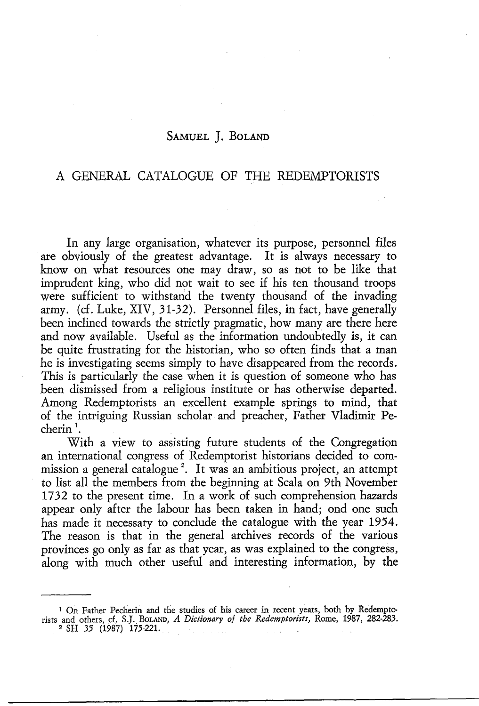### SAMUEL J. BoLAND

# A GENERAL CATALOGUE OF THE REDEMPTORISTS

In any large organisation, whatever its purpose, personnel files are obviously of the greatest advantage. It is always necessary to know on what resources one may draw, so as not to be like that imprudent king, who did not wait to see if his ten thousand troops were sufficient to withstand the twenty thousand of the invading army. (cf. Luke, XIV, 31-32). Personnel files, in fact, have generally been inclined towards the strictly pragmatic, how many are there here and now available. Useful as the information undoubtedly is, it can be quite frustrating for the historian, who so often finds that a man he is investigating seems simply to have disappeared from the records. This is particularly the case when it is question of someone who has been dismissed from a religious institute or has otherwise departed. Among Redemptorists an excellent example springs to mind, that of the intriguing Russian scholar and preacher, Father Vladimir Pecherin<sup>1</sup>.

With a view to assisting future students of the Congregation an international congress of Redemptorist historians decided to commission a general catalogue<sup>2</sup>. It was an ambitious project, an attempt to list all the members from the beginning at Scala on 9th November 1732 to the present time. In a work of such comprehension hazards appear only after the labour has been taken in hand; ond one such has made it necessary to conclude the catalogue with the year 1954. The reason is that in the general archives records of the various provinces go only as far as that year, as was explained to the congress, along with much other useful and interesting information, by the

<sup>&</sup>lt;sup>1</sup> On Father Pecherin and the studies of his career in recent years, both by Redemptorists and others, d. S.J. BoLAND, *A Dictionary of the Redemptorists,* Rome, 1987, 282-283. 2 SH 35 (1987) 175-221.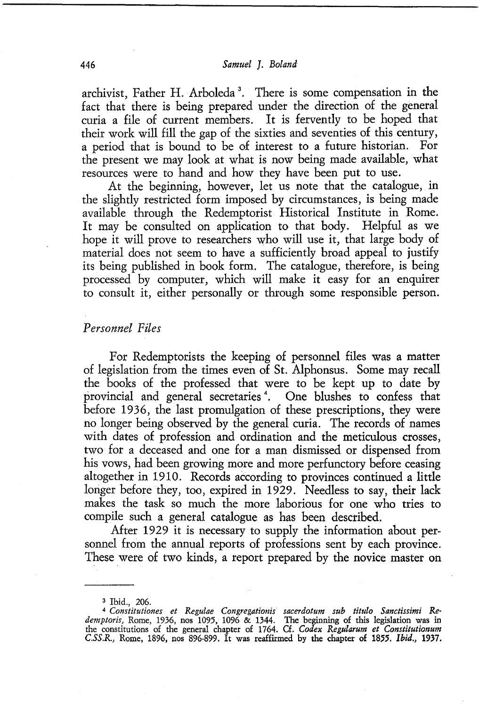archivist, Father H. Arboleda<sup>3</sup>. There is some compensation in the fact that there is being prepared under the direction of the general curia a file of current members. It is fervently to be hoped that their work will fill the gap of the sixties and seventies of this century,<br>a period that is bound to be of interest to a future historian. For a period that is bound to be of interest to a future historian. the present we may look at what is now being made available, what resources were to hand and how they have been put to use.

At the beginning, however, let us note that the catalogue, in the slightly restricted form imposed by circumstances, is being made available through the Redemptorist Historical Institute in Rome. It may be consulted on application to that body. Helpful as we hope it will prove to researchers who will use it, that large body of material does not seem to have a sufficiently broad appeal to justify its being published in book form. The catalogue, therefore, is being processed by computer, which will make it easy for an enquirer to consult it, either personally or through some responsible person.

#### *Personnel Files*

For Redemptorists the keeping of personnel files was a matter of legislation from the times even of St. Alphonsus. Some may recall the books of the professed that were to be kept up to date by provincial and general secretaries<sup>4</sup>. One blushes to confess that before 1936, the last promulgation of these prescriptions, they were no longer being observed by the general curia. The records of names with dates of profession and ordination and the meticulous crosses, two for a deceased and one for a man dismissed or dispensed from his vows, had been growing more and more perfunctory before ceasing altogether in 1910. Records according to provinces continued a little longer before they, too, expired in 1929. Needless to say, their lack makes the task so much the more laborious for one who tries to compile such a general catalogue as has been described.

After 1929 it is necessary to supply the information about personnel from the annual reports of professions sent by each province. These were of two kinds, a report prepared by the novice master on

<sup>&</sup>lt;sup>3</sup> Ibid., 206.<br><sup>4</sup> Constitutiones et Regulae Congregationis sacerdotum sub titulo Sanctissimi Re*demptoris,* Rome, 1936, nos 1095, 1096 & 1344. The beginning of this legislation was in the constitutions of the general chapter of 1764. Cf. *Codex Regularum et Constitutionum C.SS.R.,* Rome, 1896, nos 896-899. It was reaffirmed by the chapter of 1855. *Ibid.,* 1937.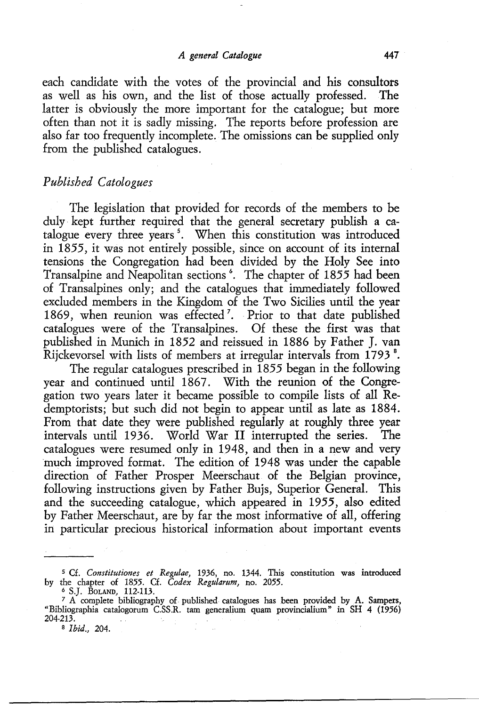each candidate with the votes of the provincial and his consultors as well as his own, and the list of those actually professed. The latter is obviously the more important for the catalogue; but more often than not it is sadly missing. The reports before profession are also far too frequently incomplete. The omissions can be supplied only from the published catalogues.

### *Published Catalogues*

The legislation that provided for records of the members to be duly· kept further required that the general secretary publish a catalogue every three years 5 • When this constitution was introduced in 1855, it was not entirely possible, since on account of its internal tensions the Congregation had been divided by the Holy See into Transalpine and Neapolitan sections <sup>6</sup>. The chapter of 1855 had been of Transalpines only; and the catalogues that immediately followed excluded members in the Kingdom of the Two Sicilies until the year 1869, when reunion was effected<sup>7</sup>. Prior to that date published catalogues were of the Transalpines. Of these the first was that published in Munich in 1852 and reissued in 1886 by Father J. van Rijckevorsel with lists of members at irregular intervals from 1793<sup>8</sup>.

The regular catalogues prescribed in  $1855$  began in the following year and continued until 1867. With the reunion of the Congregation two years later it became possible to compile lists of all Redemptorists; but such did not begin to appear until as late as 1884. From that date they were published regularly at roughly three year intervals until 1936. World War II interrupted the series. The catalogues were resumed only in 1948, and then in a new and very much improved format. The edition of 1948 was under the capable direction of Father Prosper Meerschaut of the Belgian province, following instructions given by Father Bujs, Superior General. This and the succeeding catalogue, which appeared in 1955, also edited by Father Meerschaut, are by far the most informative of all, offering in particular precious historical information about important events

*s* Cf. *Constitutiones et Regulae,* 1936, no. 1344. This constitution was introduced by the chapter of 1855. Cf. *Codex Regularum,* no. 2055.

<sup>6</sup>S.J. BoLAND, 112-113. 7 A complete bibliography of. published catalogues has been provided by A. Sampers, "Bibliographia catalogorum C.SS.R. tarn generalium quam provincialium" in SH 4 (1956) 204-213.

a *Ibid.,* 204.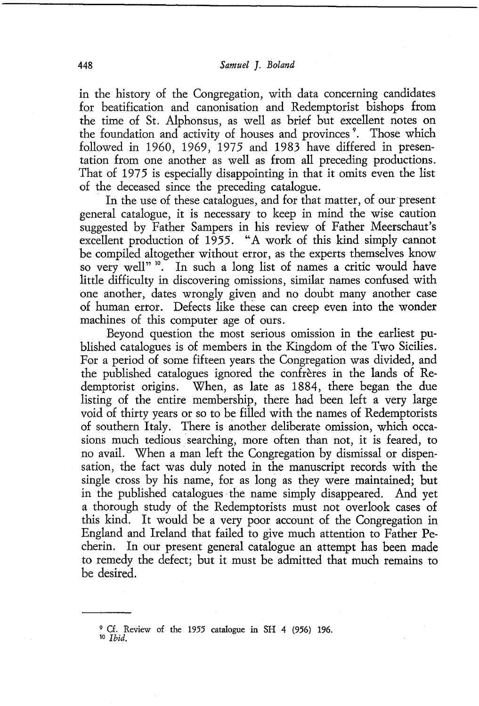in the history of the Congregation, with data concerning candidates for beatification and canonisation and Redemptorist bishops from the time of St. Alphonsus, as well as brief but excellent notes on the foundation and activity of houses and provinces<sup>9</sup>. Those which followed in 1960, 1969, 1975 and 1983 have differed in presentation from one another as well as from all preceding productions. That of 1975 is especially disappointing in that it omits even the list of the deceased since the preceding catalogue.

In the use of these catalogues, and for that matter, of our present general catalogue, it is necessary to keep in mind the wise caution suggested by Father Sampers in his review of Father Meerschaut's excellent production of 1955. "A work of this kind simply cannot be compiled altogether without error, as the experts themselves know so very well"<sup>10</sup>. In such a long list of names a critic would have little difficulty in discovering omissions, similar names confused with one another, dates wrongly given and no doubt many another case of human error. Defects like these can creep even into the wonder machines of this computer age of ours.

Beyond question the most serious omission in the earliest published catalogues is of members in the Kingdom of the Two Sicilies. For a period of some fifteen years the Congregation was divided, and the published catalogues ignored the confreres in the lands of Redemptorist origins. When, as late as 1884, there began the due listing of the entire membership, there had been left a very large void of thirty years or so to be filled with the names of Redemptorists of southern Italy. There is another deliberate omission, which occasions much tedious searching, more often than not, it is feared, to no avail. When a man left the Congregation by dismissal or dispensation, the fact was duly noted in the manuscript records with the single cross by his name, for as long as they were maintained; **but**  in the published catalogues the name simply disappeared. And yet a thorough study of the Redemptorists must not overlook cases of this kind. It would be a very poor account of the Congregation in England and Ireland that failed to give much attention to Father Pecherin. In our present general catalogue an attempt has been made to remedy the defect; but it must be admitted that much remains to be desired.

<sup>9</sup> Cf. Review of the 1955 catalogue in SH 4 (956) 196.

<sup>1</sup>o *Ibid.*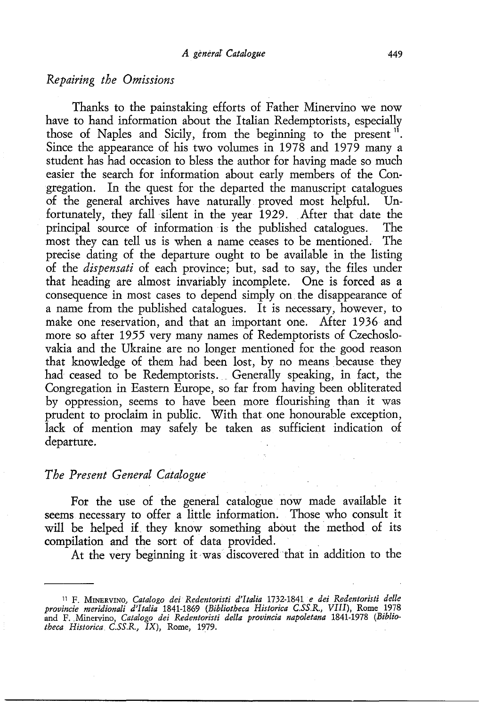# *Repairing the Omissions*

Thanks to the painstaking efforts of Father Minervino we now have to hand information about the Italian Redemptorists, especially those of Naples and Sicily, from the beginning to the present <sup>11</sup>. Since the appearance of his two volumes in 1978 and 1979 many a student has had occasion to bless the author for having made so much easier the search for information about early members of the Congregation. In the quest for the departed the manuscript catalogues<br>of the general archives have naturally proved most helpful. Unof the general archives have naturally proved most helpful. fortunately, they fall silent in the year 1929. After that date the principal source of information is the published catalogues. The most they can tell us is when a name ceases to be mentioned. The precise dating of the departure ought to be available in the listing of the *dispensati* of each province; but, sad to say, the files under that heading are almost invariably incomplete. One is forced as a consequence in most cases to depend simply on. the disappearance of a name from the published catalogues. It is necessary, however, to make one reservation, and that an important one. After 1936 and more so after 1955 very many names of Redemptorists of Czechoslovakia and the Ukraine are no longer mentioned for the good reason that knowledge of them had been lost, by no means because they had ceased to be Redemptorists. Generally speaking, in fact, the Congregation in Eastern Europe, so far from having been obliterated by oppression, seems to have been more flourishing than it was prudent to proclaim in public. With that one honourable exception, lack of mention may safely be taken as sufficient indication of departure.

#### *The Present General Catalogue*

For the use of the general catalogue now made available it seems necessary to offer a little information. Those who consult it will be helped if they know something about the method of its compilation and the sort of data provided.

At the very beginning it was discovered that in addition to the

<sup>11</sup> F. MINERVINO, *Catalogo dei Redentoristi d'Italia* 1732-1841 *e dei Redentoristi delle provincie meridionali d'Italia* 1841-1869 *(Bibliotheca Historica C.SS.R., VIII),* Rome 1978 and F. Minervino, *Catalogo dei Redentoristi delta provincia napoletana* 1841-1978 *(Bibliotheca Historica C.SS.R.,* IX), Rome, 1979.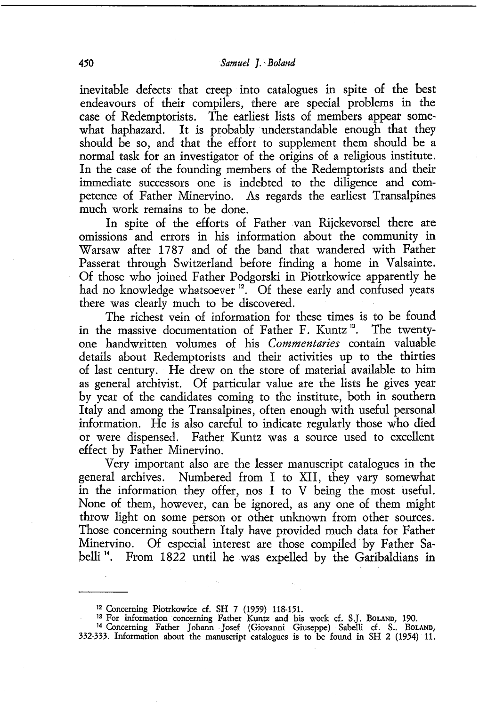inevitable defects that creep into catalogues in spite of the best endeavours of their compilers, there are special problems in the case of Redemptorists. The earliest lists of members appear somewhat haphazard. It is probably understandable enough that they should be so, and that the effort to supplement them should be a normal task for an investigator of the origins of a religious institute. In the case of the founding members of the Redemptorists and their immediate successors one is indebted to the diligence and competence of Father Minervino. As regards the earliest Transalpines much work remains to be done.

In spite of the efforts of Father van Rijckevorsel there are omissions and errors in his information about the community in Warsaw after 1787 and of the band that wandered with Father Passerat through Switzerland before finding a home in Valsainte. Of those who joined Father Podgorski in Piotrkowice apparently he had no knowledge whatsoever <sup>12</sup>. Of these early and confused years there was clearly much to be discovered.

The richest vein of information for these times is to be found in the massive documentation of Father F. Kuntz<sup>13</sup>. The twentyone handwritten volumes of his *Commentaries* contain valuable details about Redemptorists and their activities up to the thirties of last century. He drew on the store of material available to him as general archivist. Of particular value are the lists he gives year by year of the candidates coming to the institute, both in southern Italy and among the Transalpines, often enough with useful personal information. He is also careful to indicate regularly those who died or were dispensed. Father Kuntz was a source used to excellent effect by Father Minervino.

Very important also are the lesser manuscript catalogues in the general archives. Numbered from I to XII, they vary somewhat in the information they offer, nos I to V being the most useful. None of them, however, can be ignored, as any one of them might throw light on some person or other unknown from other sources. Those concerning southern Italy have provided much data for Father Minervino. Of especial interest are those compiled by Father Sabelli<sup>14</sup>. From 1822 until he was expelled by the Garibaldians in

<sup>1</sup> 2 Concerning Piotrkowice cf. SH 7 (1959) 118-151.

<sup>&</sup>lt;sup>13</sup> For information concerning Father Kuntz and his work cf. S.J. BoLAND, 190.<br><sup>14</sup> Concerning Father Johann . Josef (Giovanni Giuseppe) Sabelli cf. S.. BoLAND,

<sup>332-333.</sup> Information about the manuscript catalogues is to be found in SH 2 (1954) 11.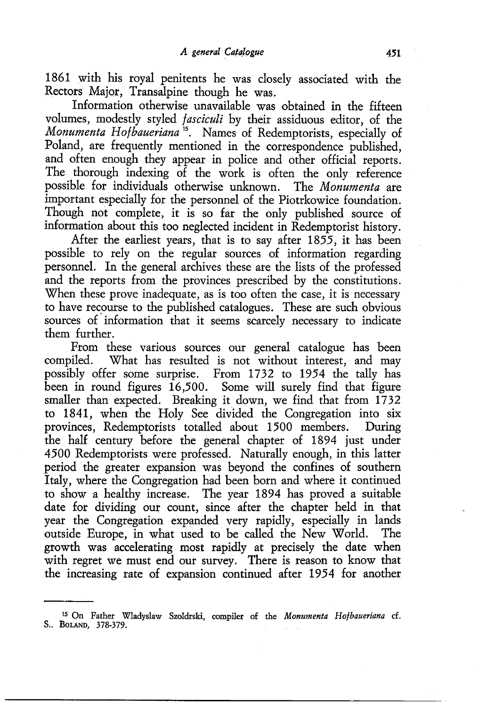1861 with his royal penitents he was closely associated with the Rectors Major, Transalpine though he was.

Information otherwise unavailable was obtained in the fifteen volumes, modestly styled *fasciculi* by their assiduous editor, of the *Monumenta Hofbaueriana* 15• Names of Redemptorists, especially of Poland, are frequently mentioned in the correspondence published, and often enough they appear in police and other official reports. The thorough indexing of the work is often the only reference possible for individuals otherwise unknown. The Monumenta are possible for individuals otherwise unknown. important especially for the personnel of the Piotrkowice foundation. Though not complete, it is so far the only published source of information about this too neglected incident in Redemptorist history.

After the earliest years, that is to say after 1855, it has been possible to rely on the regular sources of information regarding personnel. In the general archives these are the lists of the professed and the reports from the provinces prescribed by the constitutions. When these prove inadequate, as is too often the case, it is necessary to have recourse to the published catalogues. These are such obvious sources of information that it seems scarcely necessary to indicate them further.

From these various sources our general catalogue has been compiled. What has resulted is not without interest, and may possibly offer some surprise. From 1732 to 1954 the tally has been in round figures 16,500. Some will surely find that figure smaller than expected. Breaking it down, we find that from 1732 to 1841, when the Holy See divided the Congregation into six provinces, Redemptorists totalled about 1500 members. the half century before the general chapter of 1894 just under 4500 Redemptorists were professed. Naturally enough, in this latter period the greater expansion was beyond the confines of southern Italy, where the Congregation had been born and where it continued to show a healthy increase. The year 1894 has proved a suitable date for dividing our count, since after the chapter held in that year the Congregation expanded very rapidly, especially in lands outside Europe, in what used to be called the New World. The growth was accelerating most rapidly at precisely the date when with regret we must end our survey. There is reason to know that the increasing rate of expansion continued after 1954 for another

<sup>15</sup> On Father Wladyslaw Szoldrski, compiler of the *Monumenta Hofbaueriana* cf. S.. BoLAND, 378-379.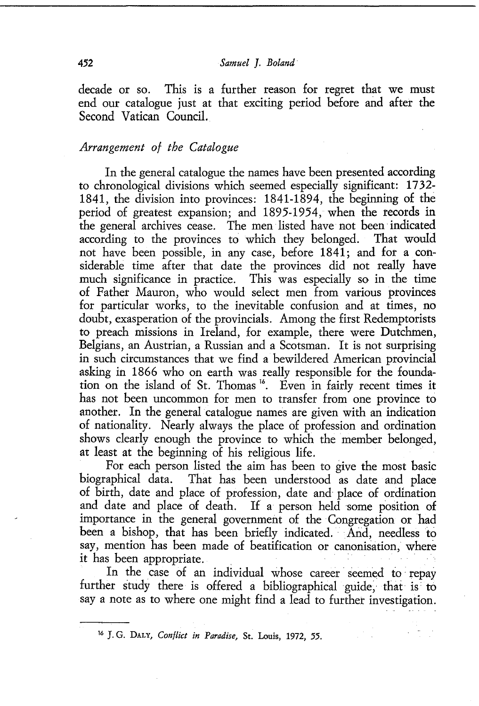decade or so. This is a further reason for regret that we must end our catalogue just at that exciting period before and after the Second Vatican Council.

# *Arrangement of the Catalogue*

In the general catalogue the names have been presented according to chronological divisions which seemed especially significant: 1732- 1841, the division into provinces: 1841-1894, the beginning of the period of greatest expansion; and 1895-1954, when the records in the general archives cease. The men listed have not been indicated according to the provinces to which they belonged. That would according to the provinces to which they belonged. not have been possible, in any case, before 1841; and for a considerable time after that date the provinces did not really have much significance in practice. This was especially so in the time of Father Mauron, who would select men from various provinces for particular works, to the inevitable confusion and at times, no doubt, exasperation of the provincials. Among the first Redemptorists to preach missions in Ireland, for example, there were Dutchmen, Belgians, an Austrian, a Russian and a Scotsman. It is not surprising in such circumstances that we find a bewildered American provincial asking in 1866 who on earth was really responsible for the foundation on the island of St. Thomas <sup>16</sup>. Even in fairly recent times it has not been uncommon for men to transfer from one province to another. In the general catalogue names are given with an indication of nationality. Nearly always the place of profession and ordination shows clearly enough the province to which the member belonged, at least at the beginning of his religious life.

For each person listed the aim has been to give the most basic biographical data. That has been understood as date and place of birth, date and place of profession, date and place of ordination and date and place of death. If a person held some position of importance in the general government of the Congregation or had been a bishop, that has been briefly indicated. And, needless to say, mention has been made of beatification or canonisation, where it has been appropriate.

In the case of an individual whose career seemed to repay further study there is offered a bibliographical guide; that is to say a note as to where one might find a lead to further investigation.

<sup>16</sup> J. G. DALY, *Conflict in Paradise,* St. Louis, 1972, *55.*